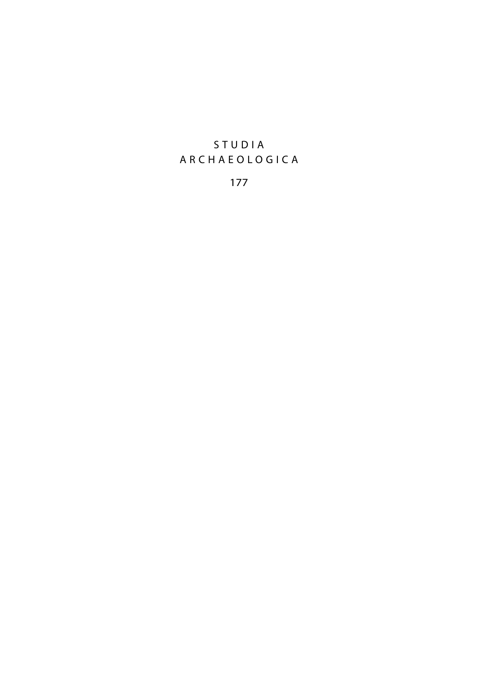## STUDIA ARCHAEOLOGICA

177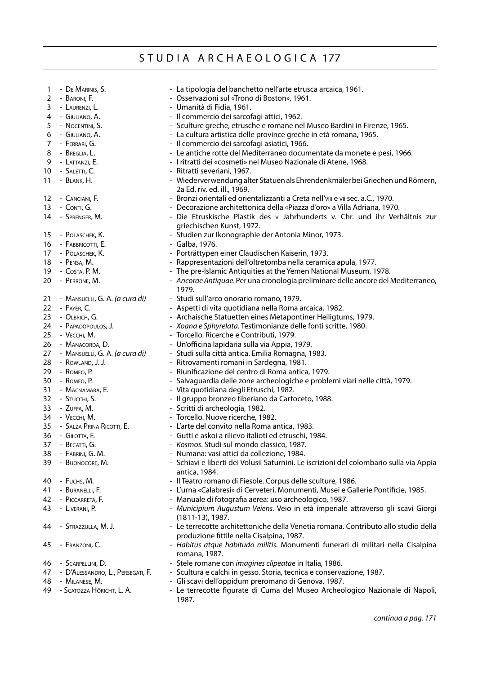#### STUDIA ARCHAEOLOGICA 177

| 1        | - DE MARINIS, S.                  | - La tipologia del banchetto nell'arte etrusca arcaica, 1961.                                                                                              |
|----------|-----------------------------------|------------------------------------------------------------------------------------------------------------------------------------------------------------|
| 2        | - BARONI, F.                      | - Osservazioni sul «Trono di Boston», 1961.                                                                                                                |
| 3        | - LAURENZI, L.                    | - Umanità di Fidia, 1961.                                                                                                                                  |
| 4        | - Giuliano, A.                    | - Il commercio dei sarcofagi attici, 1962.                                                                                                                 |
| 5        | - Nocentini, S.                   | - Sculture greche, etrusche e romane nel Museo Bardini in Firenze, 1965.                                                                                   |
| 6        | - GIULIANO, A.                    | - La cultura artistica delle province greche in età romana, 1965.                                                                                          |
| 7        | - FERRARI, G.                     | - Il commercio dei sarcofagi asiatici, 1966.                                                                                                               |
| 8        | - Breglia, L.                     | - Le antiche rotte del Mediterraneo documentate da monete e pesi, 1966.                                                                                    |
| 9        | - LATTANZI, E.                    | - I ritratti dei «cosmeti» nel Museo Nazionale di Atene, 1968.                                                                                             |
| 10       | - Saletti, C.                     | - Ritratti severiani, 1967.                                                                                                                                |
| 11       | - BLANK, H.                       | - Wiederverwendung alter Statuen als Ehrendenkmäler bei Griechen und Römern,                                                                               |
|          |                                   | 2a Ed. riv. ed. ill., 1969.                                                                                                                                |
| 12<br>13 | - CANCIANI, F.                    | - Bronzi orientali ed orientalizzanti a Creta nell'vili e vii sec. a.C., 1970.<br>- Decorazione architettonica della «Piazza d'oro» a Villa Adriana, 1970. |
|          | - Conti, G.<br>- SPRENGER, M.     | - Die Etruskische Plastik des v Jahrhunderts v. Chr. und ihr Verhältnis zur                                                                                |
| 14       |                                   | griechischen Kunst, 1972.                                                                                                                                  |
| 15       | - Polaschek, K.                   | - Studien zur Ikonographie der Antonia Minor, 1973.                                                                                                        |
| 16       | - FABBRICOTTI, E.                 | - Galba, 1976.                                                                                                                                             |
| 17       | - Polaschek, K.                   | - Porträttypen einer Claudischen Kaiserin, 1973.                                                                                                           |
| 18       | - Pensa, M.                       | - Rappresentazioni dell'oltretomba nella ceramica apula, 1977.                                                                                             |
| 19       | - Costa, P. M.                    | - The pre-Islamic Antiquities at the Yemen National Museum, 1978.                                                                                          |
| 20       | - PERRONE, M.                     | - Ancorae Antiquae. Per una cronologia preliminare delle ancore del Mediterraneo,<br>1979.                                                                 |
| 21       | - MANSUELLI, G. A. (a cura di)    | - Studi sull'arco onorario romano, 1979.                                                                                                                   |
| 22       | - FAYER, C.                       | - Aspetti di vita quotidiana nella Roma arcaica, 1982.                                                                                                     |
| 23       | - OLBRICH, G.                     | - Archaische Statuetten eines Metapontiner Heiligtums, 1979.                                                                                               |
| 24       | - PAPADOPOULOS, J.                | - Xoana e Sphyrelata. Testimonianze delle fonti scritte, 1980.                                                                                             |
| 25       | - VECCHI, M.                      | - Torcello. Ricerche e Contributi, 1979.                                                                                                                   |
| 26       | - Manacorda, D.                   | - Un'officina lapidaria sulla via Appia, 1979.                                                                                                             |
| 27       | - MANSUELLI, G. A. (a cura di)    | - Studi sulla città antica. Emilia Romagna, 1983.                                                                                                          |
| 28       | - ROWLAND, J. J.                  | - Ritrovamenti romani in Sardegna, 1981.                                                                                                                   |
| 29       | - Комео, Р.                       | - Riunificazione del centro di Roma antica, 1979.                                                                                                          |
| 30       | - ROMEO, P.                       | - Salvaguardia delle zone archeologiche e problemi viari nelle città, 1979.                                                                                |
| 31       | - Macnamara, E.                   | - Vita quotidiana degli Etruschi, 1982.                                                                                                                    |
| 32       | - STUCCHI, S.                     | - Il gruppo bronzeo tiberiano da Cartoceto, 1988.                                                                                                          |
| 33       | - Zuffa, M.                       | - Scritti di archeologia, 1982.                                                                                                                            |
| 34       | - VECCHI, M.                      | - Torcello. Nuove ricerche, 1982.                                                                                                                          |
| 35       | - SALZA PRINA RICOTTI, E.         | - L'arte del convito nella Roma antica, 1983.                                                                                                              |
| 36       | - GILOTTA, F.                     | - Gutti e askoi a rilievo italioti ed etruschi, 1984.                                                                                                      |
| 37       | - Becatti, G.                     | - Kosmos. Studi sul mondo classico, 1987.                                                                                                                  |
| 38       | - FABRINI, G. M.                  | - Numana: vasi attici da collezione, 1984.                                                                                                                 |
| 39       | - Buonocore, M.                   | - Schiavi e liberti dei Volusii Saturnini. Le iscrizioni del colombario sulla via Appia                                                                    |
|          |                                   | antica, 1984.                                                                                                                                              |
| 40       | - Fuchs, M.                       | - Il Teatro romano di Fiesole. Corpus delle sculture, 1986.                                                                                                |
| 41       | - BURANELLI, F.                   | - L'urna «Calabresi» di Cerveteri. Monumenti, Musei e Gallerie Pontificie, 1985.                                                                           |
| 42       | - PICCARRETA, F.                  | - Manuale di fotografia aerea: uso archeologico, 1987.                                                                                                     |
| 43       | - LIVERANI, P.                    | - Municipium Augustum Veiens. Veio in età imperiale attraverso gli scavi Giorgi<br>$(1811-13)$ , 1987.                                                     |
| 44       | - STRAZZULLA, M. J.               | - Le terrecotte architettoniche della Venetia romana. Contributo allo studio della                                                                         |
|          |                                   | produzione fittile nella Cisalpina, 1987.                                                                                                                  |
| 45       | - FRANZONI, C.                    | - Habitus atque habitudo militis. Monumenti funerari di militari nella Cisalpina<br>romana, 1987.                                                          |
| 46       | - SCARPELLINI, D.                 | - Stele romane con imagines clipeatae in Italia, 1986.                                                                                                     |
| 47       | - D'Alessandro, L., Persegati, F. | - Scultura e calchi in gesso. Storia, tecnica e conservazione, 1987.                                                                                       |
| 48       | - MILANESE, M.                    | - Gli scavi dell'oppidum preromano di Genova, 1987.                                                                                                        |
| 49       | - SCATOZZA HÖRICHT, L. A.         | - Le terrecotte figurate di Cuma del Museo Archeologico Nazionale di Napoli,<br>1987.                                                                      |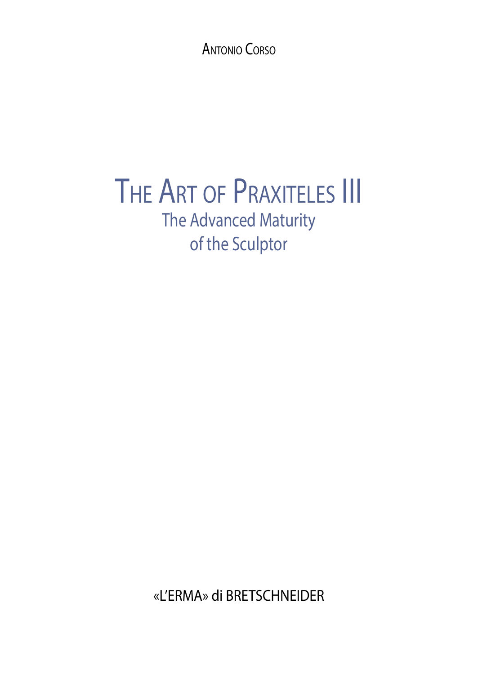Antonio Corso

# THE ART OF PRAXITELES III The Advanced Maturity of the Sculptor

«L'ERMA» di BRETSCHNEIDER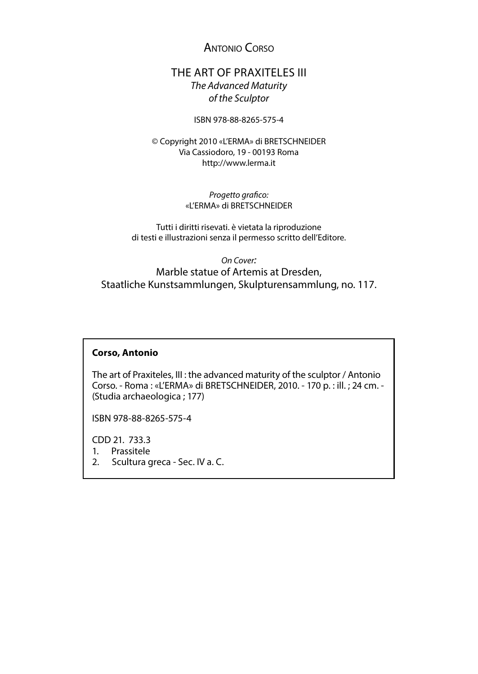Antonio Corso

### THE ART OF PRAXITELES III *The Advanced Maturity of the Sculptor*

ISBN 978-88-8265-575-4

© Copyright 2010 «L'ERMA» di BRETSCHNEIDER Via Cassiodoro, 19 - 00193 Roma http://www.lerma.it

> *Progetto grafico:* «L'ERMA» di BRETSCHNEIDER

Tutti i diritti risevati. è vietata la riproduzione di testi e illustrazioni senza il permesso scritto dell'Editore.

*On Cover:*

Marble statue of Artemis at Dresden, Staatliche Kunstsammlungen, Skulpturensammlung, no. 117.

#### **Corso, Antonio**

The art of Praxiteles, III : the advanced maturity of the sculptor / Antonio Corso. - Roma : «L'ERMA» di BRETSCHNEIDER, 2010. - 170 p. : ill. ; 24 cm. - (Studia archaeologica ; 177)

ISBN 978-88-8265-575-4

CDD 21. 733.3

1. Prassitele

2. Scultura greca - Sec. IV a. C.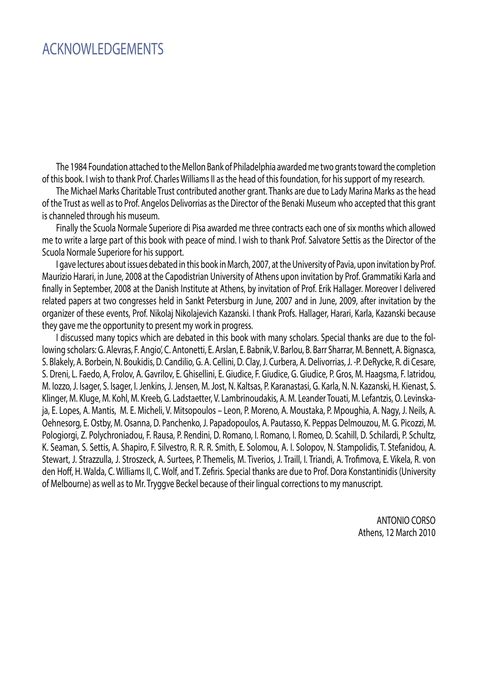# ACKNOWLEDGEMENTS

The 1984 Foundation attached to the Mellon Bank of Philadelphia awarded me two grants toward the completion of this book. I wish to thank Prof. Charles Williams II as the head of this foundation, for his support of my research.

The Michael Marks Charitable Trust contributed another grant. Thanks are due to Lady Marina Marks as the head of the Trust as well as to Prof. Angelos Delivorrias as the Director of the Benaki Museum who accepted that this grant is channeled through his museum.

Finally the Scuola Normale Superiore di Pisa awarded me three contracts each one of six months which allowed me to write a large part of this book with peace of mind. I wish to thank Prof. Salvatore Settis as the Director of the Scuola Normale Superiore for his support.

I gave lectures about issues debated in this book in March, 2007, at the University of Pavia, upon invitation by Prof. Maurizio Harari, in June, 2008 at the Capodistrian University of Athens upon invitation by Prof. Grammatiki Karla and finally in September, 2008 at the Danish Institute at Athens, by invitation of Prof. Erik Hallager. Moreover I delivered related papers at two congresses held in Sankt Petersburg in June, 2007 and in June, 2009, after invitation by the organizer of these events, Prof. Nikolaj Nikolajevich Kazanski. I thank Profs. Hallager, Harari, Karla, Kazanski because they gave me the opportunity to present my work in progress.

I discussed many topics which are debated in this book with many scholars. Special thanks are due to the following scholars: G. Alevras, F. Angio', C. Antonetti, E. Arslan, E. Babnik, V. Barlou, B. Barr Sharrar, M. Bennett, A. Bignasca, S. Blakely, A. Borbein, N. Boukidis, D. Candilio, G. A. Cellini, D. Clay, J. Curbera, A. Delivorrias, J. -P. DeRycke, R. di Cesare, S. Dreni, L. Faedo, A, Frolov, A. Gavrilov, E. Ghisellini, E. Giudice, F. Giudice, G. Giudice, P. Gros, M. Haagsma, F. Iatridou, M. Iozzo, J. Isager, S. Isager, I. Jenkins, J. Jensen, M. Jost, N. Kaltsas, P. Karanastasi, G. Karla, N. N. Kazanski, H. Kienast, S. Klinger, M. Kluge, M. Kohl, M. Kreeb, G. Ladstaetter, V. Lambrinoudakis, A. M. Leander Touati, M. Lefantzis, O. Levinskaja, E. Lopes, A. Mantis, M. E. Micheli, V. Mitsopoulos – Leon, P. Moreno, A. Moustaka, P. Mpoughia, A. Nagy, J. Neils, A. Oehnesorg, E. Ostby, M. Osanna, D. Panchenko, J. Papadopoulos, A. Pautasso, K. Peppas Delmouzou, M. G. Picozzi, M. Pologiorgi, Z. Polychroniadou, F. Rausa, P. Rendini, D. Romano, I. Romano, I. Romeo, D. Scahill, D. Schilardi, P. Schultz, K. Seaman, S. Settis, A. Shapiro, F. Silvestro, R. R. R. Smith, E. Solomou, A. I. Solopov, N. Stampolidis, T. Stefanidou, A. Stewart, J. Strazzulla, J. Stroszeck, A. Surtees, P. Themelis, M. Tiverios, J. Traill, I. Triandi, A. Trofimova, E. Vikela, R. von den Hoff, H. Walda, C. Williams II, C. Wolf, and T. Zefiris. Special thanks are due to Prof. Dora Konstantinidis (University of Melbourne) as well as to Mr. Tryggve Beckel because of their lingual corrections to my manuscript.

> ANTONIO CORSO Athens, 12 March 2010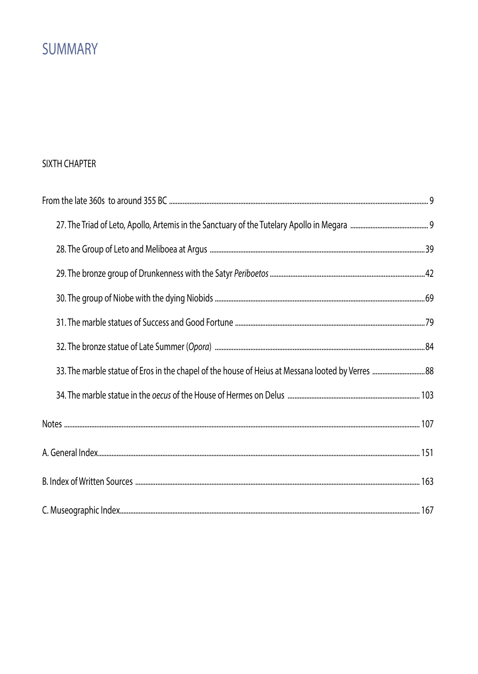# **SUMMARY**

## SIXTH CHAPTER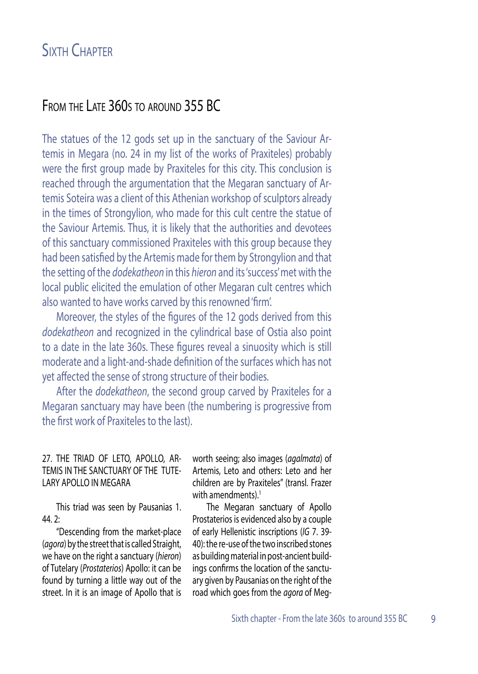# From the Late 360s to around 355 BC

The statues of the 12 gods set up in the sanctuary of the Saviour Artemis in Megara (no. 24 in my list of the works of Praxiteles) probably were the first group made by Praxiteles for this city. This conclusion is reached through the argumentation that the Megaran sanctuary of Artemis Soteira was a client of this Athenian workshop of sculptors already in the times of Strongylion, who made for this cult centre the statue of the Saviour Artemis. Thus, it is likely that the authorities and devotees of this sanctuary commissioned Praxiteles with this group because they had been satisfied by the Artemis made for them by Strongylion and that the setting of the *dodekatheon* in this *hieron* and its 'success' met with the local public elicited the emulation of other Megaran cult centres which also wanted to have works carved by this renowned 'firm'.

Moreover, the styles of the figures of the 12 gods derived from this *dodekatheon* and recognized in the cylindrical base of Ostia also point to a date in the late 360s. These figures reveal a sinuosity which is still moderate and a light-and-shade definition of the surfaces which has not yet affected the sense of strong structure of their bodies.

After the *dodekatheon*, the second group carved by Praxiteles for a Megaran sanctuary may have been (the numbering is progressive from the first work of Praxiteles to the last).

#### 27. THE TRIAD OF LETO, APOLLO, AR-TEMIS IN THE SANCTUARY OF THE TUTE-LARY APOLLO IN MEGARA

This triad was seen by Pausanias 1. 44. 2:

"Descending from the market-place (*agora*) by the street that is called Straight, we have on the right a sanctuary (*hieron*) of Tutelary (*Prostaterios*) Apollo: it can be found by turning a little way out of the street. In it is an image of Apollo that is

worth seeing; also images (*agalmata*) of Artemis, Leto and others: Leto and her children are by Praxiteles" (transl. Frazer with amendments).<sup>1</sup>

The Megaran sanctuary of Apollo Prostaterios is evidenced also by a couple of early Hellenistic inscriptions (*IG* 7. 39- 40): the re-use of the two inscribed stones as building material in post-ancient buildings confirms the location of the sanctuary given by Pausanias on the right of the road which goes from the *agora* of Meg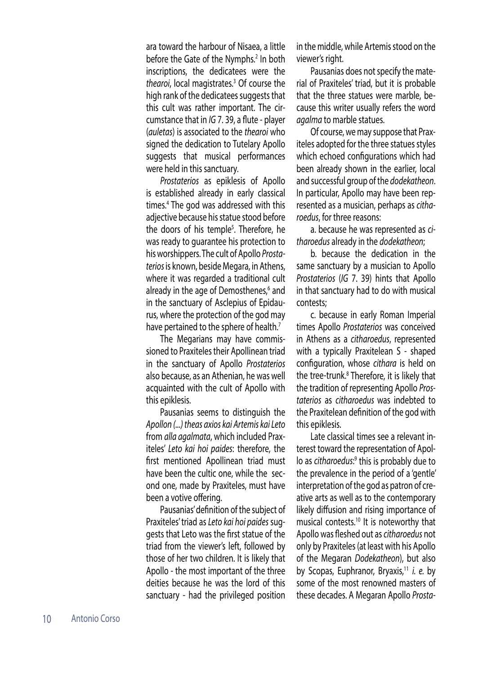ara toward the harbour of Nisaea, a little before the Gate of the Nymphs.<sup>2</sup> In both inscriptions, the dedicatees were the thearoi, local magistrates.<sup>3</sup> Of course the high rank of the dedicatees suggests that this cult was rather important. The circumstance that in *IG* 7. 39, a flute - player (*auletas*) is associated to the *thearoi* who signed the dedication to Tutelary Apollo suggests that musical performances were held in this sanctuary.

*Prostaterios* as epiklesis of Apollo is established already in early classical times.4 The god was addressed with this adjective because his statue stood before the doors of his temple<sup>5</sup>. Therefore, he was ready to guarantee his protection to his worshippers. The cult of Apollo *Prostaterios* is known, beside Megara, in Athens, where it was regarded a traditional cult already in the age of Demosthenes,<sup>6</sup> and in the sanctuary of Asclepius of Epidaurus, where the protection of the god may have pertained to the sphere of health.<sup>7</sup>

The Megarians may have commissioned to Praxiteles their Apollinean triad in the sanctuary of Apollo *Prostaterios* also because, as an Athenian, he was well acquainted with the cult of Apollo with this epiklesis.

Pausanias seems to distinguish the *Apollon (...) theas axios kai Artemis kai Leto* from *alla agalmata*, which included Praxiteles' *Leto kai hoi paides*: therefore, the first mentioned Apollinean triad must have been the cultic one, while the second one, made by Praxiteles, must have been a votive offering.

Pausanias' definition of the subject of Praxiteles' triad as *Leto kai hoi paides* suggests that Leto was the first statue of the triad from the viewer's left, followed by those of her two children. It is likely that Apollo - the most important of the three deities because he was the lord of this sanctuary - had the privileged position

in the middle, while Artemis stood on the viewer's right.

Pausanias does not specify the material of Praxiteles' triad, but it is probable that the three statues were marble, because this writer usually refers the word *agalma* to marble statues.

Of course, we may suppose that Praxiteles adopted for the three statues styles which echoed configurations which had been already shown in the earlier, local and successful group of the *dodekatheon*. In particular, Apollo may have been represented as a musician, perhaps as *citharoedus*, for three reasons:

a. because he was represented as *citharoedus* already in the *dodekatheon*;

b. because the dedication in the same sanctuary by a musician to Apollo *Prostaterios* (*IG* 7. 39) hints that Apollo in that sanctuary had to do with musical contests;

c. because in early Roman Imperial times Apollo *Prostaterios* was conceived in Athens as a *citharoedus*, represented with a typically Praxitelean S - shaped configuration, whose *cithara* is held on the tree-trunk.<sup>8</sup> Therefore, it is likely that the tradition of representing Apollo *Prostaterios* as *citharoedus* was indebted to the Praxitelean definition of the god with this epiklesis.

Late classical times see a relevant interest toward the representation of Apollo as *citharoedus*:<sup>9</sup> this is probably due to the prevalence in the period of a 'gentle' interpretation of the god as patron of creative arts as well as to the contemporary likely diffusion and rising importance of musical contests.10 It is noteworthy that Apollo was fleshed out as *citharoedus* not only by Praxiteles (at least with his Apollo of the Megaran *Dodekatheon*), but also by Scopas, Euphranor, Bryaxis,<sup>11</sup> *i. e.* by some of the most renowned masters of these decades. A Megaran Apollo *Prosta-*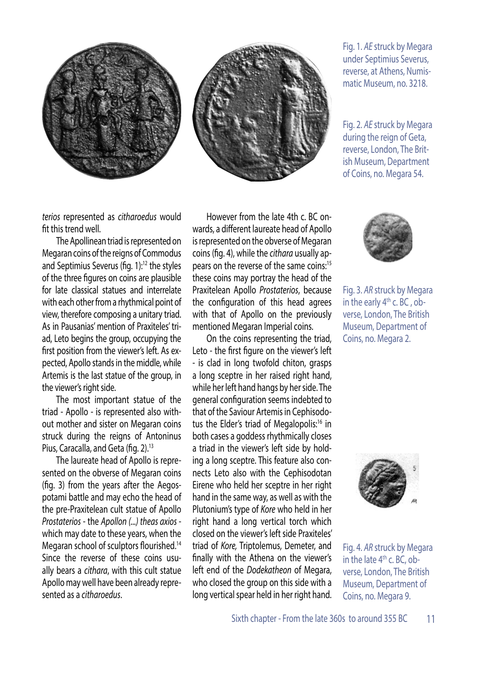



Fig. 1. *AE* struck by Megara under Septimius Severus, reverse, at Athens, Numismatic Museum, no. 3218.

Fig. 2. *AE* struck by Megara during the reign of Geta. reverse, London, The British Museum, Department of Coins, no. Megara 54.

*terios* represented as *citharoedus* would fit this trend well.

The Apollinean triad is represented on Megaran coins of the reigns of Commodus and Septimius Severus (fig. 1):<sup>12</sup> the styles of the three figures on coins are plausible for late classical statues and interrelate with each other from a rhythmical point of view, therefore composing a unitary triad. As in Pausanias' mention of Praxiteles' triad, Leto begins the group, occupying the first position from the viewer's left. As expected, Apollo stands in the middle, while Artemis is the last statue of the group, in the viewer's right side.

The most important statue of the triad - Apollo - is represented also without mother and sister on Megaran coins struck during the reigns of Antoninus Pius, Caracalla, and Geta (fig. 2).<sup>13</sup>

The laureate head of Apollo is represented on the obverse of Megaran coins (fig. 3) from the years after the Aegospotami battle and may echo the head of the pre-Praxitelean cult statue of Apollo *Prostaterios* - the *Apollon (...) theas axios*  which may date to these years, when the Megaran school of sculptors flourished.<sup>14</sup> Since the reverse of these coins usually bears a *cithara*, with this cult statue Apollo may well have been already represented as a *citharoedus*.

However from the late 4th c. BC onwards, a different laureate head of Apollo is represented on the obverse of Megaran coins (fig. 4), while the *cithara* usually appears on the reverse of the same coins:<sup>15</sup> these coins may portray the head of the Praxitelean Apollo *Prostaterios*, because the configuration of this head agrees with that of Apollo on the previously mentioned Megaran Imperial coins.

On the coins representing the triad, Leto - the first figure on the viewer's left - is clad in long twofold chiton, grasps a long sceptre in her raised right hand, while her left hand hangs by her side. The general configuration seems indebted to that of the Saviour Artemis in Cephisodotus the Elder's triad of Megalopolis:<sup>16</sup> in both cases a goddess rhythmically closes a triad in the viewer's left side by holding a long sceptre. This feature also connects Leto also with the Cephisodotan Eirene who held her sceptre in her right hand in the same way, as well as with the Plutonium's type of *Kore* who held in her right hand a long vertical torch which closed on the viewer's left side Praxiteles' triad of *Kore,* Triptolemus, Demeter, and finally with the Athena on the viewer's left end of the *Dodekatheon* of Megara, who closed the group on this side with a long vertical spear held in her right hand.



Fig. 3. *AR* struck by Megara in the early  $4<sup>th</sup>$  c. BC, obverse, London, The British Museum, Department of Coins, no. Megara 2.



Fig. 4. *AR* struck by Megara in the late  $4<sup>th</sup>$  c. BC, obverse, London, The British Museum, Department of Coins, no. Megara 9.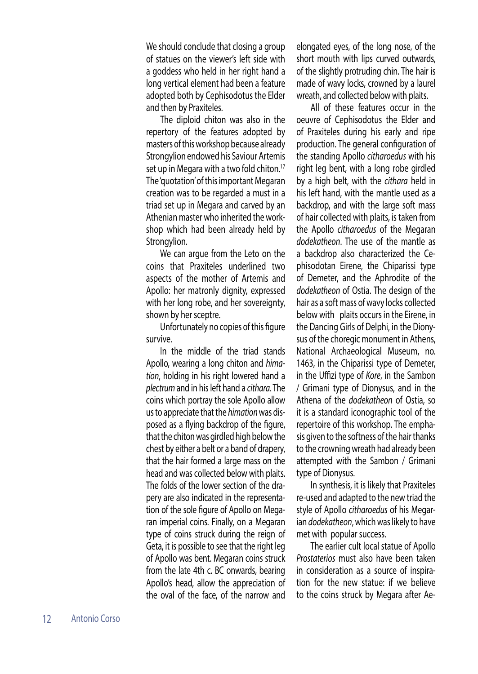We should conclude that closing a group of statues on the viewer's left side with a goddess who held in her right hand a long vertical element had been a feature adopted both by Cephisodotus the Elder and then by Praxiteles.

The diploid chiton was also in the repertory of the features adopted by masters of this workshop because already Strongylion endowed his Saviour Artemis set up in Megara with a two fold chiton.<sup>17</sup> The 'quotation' of this important Megaran creation was to be regarded a must in a triad set up in Megara and carved by an Athenian master who inherited the workshop which had been already held by Strongylion.

We can argue from the Leto on the coins that Praxiteles underlined two aspects of the mother of Artemis and Apollo: her matronly dignity, expressed with her long robe, and her sovereignty, shown by her sceptre.

Unfortunately no copies of this figure survive.

In the middle of the triad stands Apollo, wearing a long chiton and *himation*, holding in his right lowered hand a *plectrum* and in his left hand a *cithara*. The coins which portray the sole Apollo allow us to appreciate that the *himation* was disposed as a flying backdrop of the figure, that the chiton was girdled high below the chest by either a belt or a band of drapery, that the hair formed a large mass on the head and was collected below with plaits. The folds of the lower section of the drapery are also indicated in the representation of the sole figure of Apollo on Megaran imperial coins. Finally, on a Megaran type of coins struck during the reign of Geta, it is possible to see that the right leg of Apollo was bent. Megaran coins struck from the late 4th c. BC onwards, bearing Apollo's head, allow the appreciation of the oval of the face, of the narrow and

elongated eyes, of the long nose, of the short mouth with lips curved outwards, of the slightly protruding chin. The hair is made of wavy locks, crowned by a laurel wreath, and collected below with plaits.

All of these features occur in the oeuvre of Cephisodotus the Elder and of Praxiteles during his early and ripe production. The general configuration of the standing Apollo *citharoedus* with his right leg bent, with a long robe girdled by a high belt, with the *cithara* held in his left hand, with the mantle used as a backdrop, and with the large soft mass of hair collected with plaits, is taken from the Apollo *citharoedus* of the Megaran *dodekatheon*. The use of the mantle as a backdrop also characterized the Cephisodotan Eirene, the Chiparissi type of Demeter, and the Aphrodite of the *dodekatheon* of Ostia. The design of the hair as a soft mass of wavy locks collected below with plaits occurs in the Eirene, in the Dancing Girls of Delphi, in the Dionysus of the choregic monument in Athens, National Archaeological Museum, no. 1463, in the Chiparissi type of Demeter, in the Uffizi type of *Kore*, in the Sambon / Grimani type of Dionysus, and in the Athena of the *dodekatheon* of Ostia, so it is a standard iconographic tool of the repertoire of this workshop. The emphasis given to the softness of the hair thanks to the crowning wreath had already been attempted with the Sambon / Grimani type of Dionysus.

In synthesis, it is likely that Praxiteles re-used and adapted to the new triad the style of Apollo *citharoedus* of his Megarian *dodekatheon*, which was likely to have met with popular success.

The earlier cult local statue of Apollo *Prostaterios* must also have been taken in consideration as a source of inspiration for the new statue: if we believe to the coins struck by Megara after Ae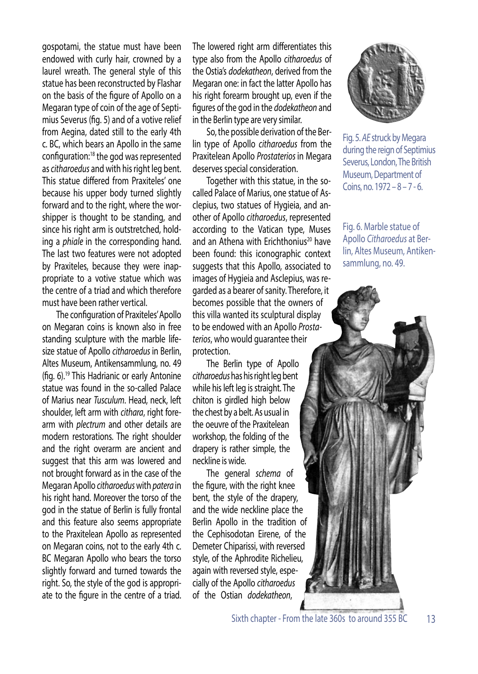gospotami, the statue must have been endowed with curly hair, crowned by a laurel wreath. The general style of this statue has been reconstructed by Flashar on the basis of the figure of Apollo on a Megaran type of coin of the age of Septimius Severus (fig. 5) and of a votive relief from Aegina, dated still to the early 4th c. BC, which bears an Apollo in the same configuration:18 the god was represented as *citharoedus* and with his right leg bent. This statue differed from Praxiteles' one because his upper body turned slightly forward and to the right, where the worshipper is thought to be standing, and since his right arm is outstretched, holding a *phiale* in the corresponding hand. The last two features were not adopted by Praxiteles, because they were inappropriate to a votive statue which was the centre of a triad and which therefore must have been rather vertical.

The configuration of Praxiteles' Apollo on Megaran coins is known also in free standing sculpture with the marble lifesize statue of Apollo *citharoedus* in Berlin, Altes Museum, Antikensammlung, no. 49 (fig. 6).19 This Hadrianic or early Antonine statue was found in the so-called Palace of Marius near *Tusculum*. Head, neck, left shoulder, left arm with *cithara*, right forearm with *plectrum* and other details are modern restorations. The right shoulder and the right overarm are ancient and suggest that this arm was lowered and not brought forward as in the case of the Megaran Apollo *citharoedus* with *patera* in his right hand. Moreover the torso of the god in the statue of Berlin is fully frontal and this feature also seems appropriate to the Praxitelean Apollo as represented on Megaran coins, not to the early 4th c. BC Megaran Apollo who bears the torso slightly forward and turned towards the right. So, the style of the god is appropriate to the figure in the centre of a triad.

The lowered right arm differentiates this type also from the Apollo *citharoedus* of the Ostia's *dodekatheon*, derived from the Megaran one: in fact the latter Apollo has his right forearm brought up, even if the figures of the god in the *dodekatheon* and in the Berlin type are very similar.

So, the possible derivation of the Berlin type of Apollo *citharoedus* from the Praxitelean Apollo *Prostaterios* in Megara deserves special consideration.

Together with this statue, in the socalled Palace of Marius, one statue of Asclepius, two statues of Hygieia, and another of Apollo *citharoedus*, represented according to the Vatican type, Muses and an Athena with Erichthonius<sup>20</sup> have been found: this iconographic context suggests that this Apollo, associated to images of Hygieia and Asclepius, was regarded as a bearer of sanity. Therefore, it becomes possible that the owners of this villa wanted its sculptural display to be endowed with an Apollo *Prostaterios*, who would guarantee their protection.

The Berlin type of Apollo *citharoedus* has his right leg bent while his left leg is straight. The chiton is girdled high below the chest by a belt. As usual in the oeuvre of the Praxitelean workshop, the folding of the drapery is rather simple, the neckline is wide.

The general *schema* of the figure, with the right knee bent, the style of the drapery, and the wide neckline place the Berlin Apollo in the tradition of the Cephisodotan Eirene, of the Demeter Chiparissi, with reversed style, of the Aphrodite Richelieu, again with reversed style, especially of the Apollo *citharoedus* of the Ostian *dodekatheon*,



Fig. 5. *AE* struck by Megara during the reign of Septimius Severus, London, The British Museum, Department of Coins, no. 1972 – 8 – 7 - 6.

Fig. 6. Marble statue of Apollo *Citharoedus* at Berlin, Altes Museum, Antikensammlung, no. 49.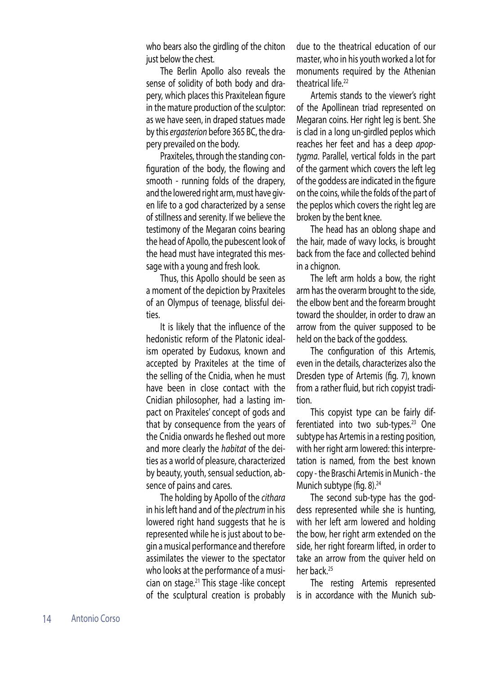who bears also the girdling of the chiton just below the chest.

The Berlin Apollo also reveals the sense of solidity of both body and drapery, which places this Praxitelean figure in the mature production of the sculptor: as we have seen, in draped statues made by this *ergasterion* before 365 BC, the drapery prevailed on the body.

Praxiteles, through the standing configuration of the body, the flowing and smooth - running folds of the drapery, and the lowered right arm, must have given life to a god characterized by a sense of stillness and serenity. If we believe the testimony of the Megaran coins bearing the head of Apollo, the pubescent look of the head must have integrated this message with a young and fresh look.

Thus, this Apollo should be seen as a moment of the depiction by Praxiteles of an Olympus of teenage, blissful deities.

It is likely that the influence of the hedonistic reform of the Platonic idealism operated by Eudoxus, known and accepted by Praxiteles at the time of the selling of the Cnidia, when he must have been in close contact with the Cnidian philosopher, had a lasting impact on Praxiteles' concept of gods and that by consequence from the years of the Cnidia onwards he fleshed out more and more clearly the *habitat* of the deities as a world of pleasure, characterized by beauty, youth, sensual seduction, absence of pains and cares.

The holding by Apollo of the *cithara* in his left hand and of the *plectrum* in his lowered right hand suggests that he is represented while he is just about to begin a musical performance and therefore assimilates the viewer to the spectator who looks at the performance of a musician on stage.21 This stage -like concept of the sculptural creation is probably

due to the theatrical education of our master, who in his youth worked a lot for monuments required by the Athenian theatrical life.<sup>22</sup>

Artemis stands to the viewer's right of the Apollinean triad represented on Megaran coins. Her right leg is bent. She is clad in a long un-girdled peplos which reaches her feet and has a deep *apoptygma*. Parallel, vertical folds in the part of the garment which covers the left leg of the goddess are indicated in the figure on the coins, while the folds of the part of the peplos which covers the right leg are broken by the bent knee.

The head has an oblong shape and the hair, made of wavy locks, is brought back from the face and collected behind in a chignon.

The left arm holds a bow, the right arm has the overarm brought to the side, the elbow bent and the forearm brought toward the shoulder, in order to draw an arrow from the quiver supposed to be held on the back of the goddess.

The configuration of this Artemis, even in the details, characterizes also the Dresden type of Artemis (fig. 7), known from a rather fluid, but rich copyist tradition.

This copyist type can be fairly differentiated into two sub-types. $23$  One subtype has Artemis in a resting position, with her right arm lowered: this interpretation is named, from the best known copy - the Braschi Artemis in Munich - the Munich subtype (fig.  $8$ ).<sup>24</sup>

The second sub-type has the goddess represented while she is hunting, with her left arm lowered and holding the bow, her right arm extended on the side, her right forearm lifted, in order to take an arrow from the quiver held on her back.<sup>25</sup>

The resting Artemis represented is in accordance with the Munich sub-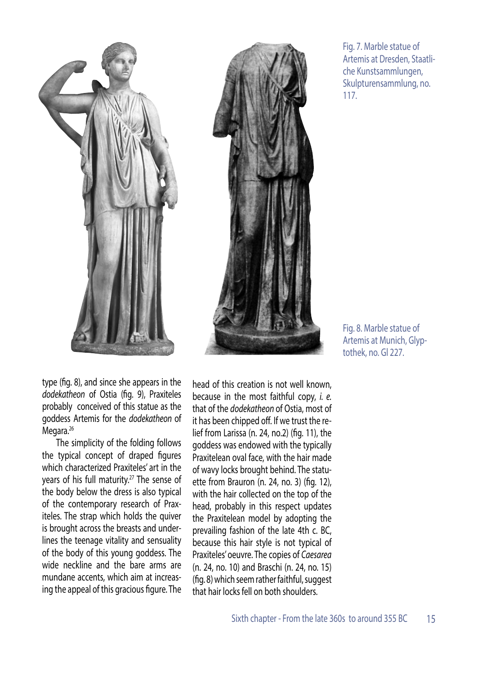

Fig. 7. Marble statue of Artemis at Dresden, Staatliche Kunstsammlungen, Skulpturensammlung, no. 117.

Fig. 8. Marble statue of Artemis at Munich, Glyptothek, no. Gl 227.

type (fig. 8), and since she appears in the *dodekatheon* of Ostia (fig. 9), Praxiteles probably conceived of this statue as the goddess Artemis for the *dodekatheon* of Megara.<sup>26</sup>

The simplicity of the folding follows the typical concept of draped figures which characterized Praxiteles' art in the years of his full maturity.<sup>27</sup> The sense of the body below the dress is also typical of the contemporary research of Praxiteles. The strap which holds the quiver is brought across the breasts and underlines the teenage vitality and sensuality of the body of this young goddess. The wide neckline and the bare arms are mundane accents, which aim at increasing the appeal of this gracious figure. The

head of this creation is not well known, because in the most faithful copy, *i. e.*  that of the *dodekatheon* of Ostia, most of it has been chipped off. If we trust the relief from Larissa (n. 24, no.2) (fig. 11), the goddess was endowed with the typically Praxitelean oval face, with the hair made of wavy locks brought behind. The statuette from Brauron (n. 24, no. 3) (fig. 12), with the hair collected on the top of the head, probably in this respect updates the Praxitelean model by adopting the prevailing fashion of the late 4th c. BC, because this hair style is not typical of Praxiteles' oeuvre. The copies of *Caesarea* (n. 24, no. 10) and Braschi (n. 24, no. 15) (fig. 8) which seem rather faithful, suggest that hair locks fell on both shoulders.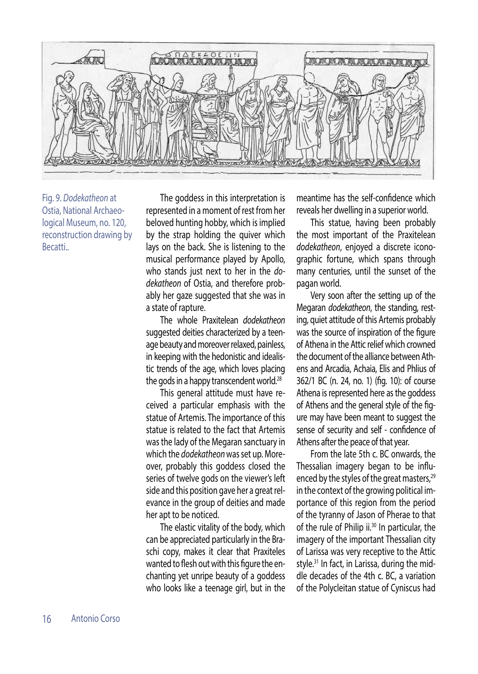

Fig. 9. *Dodekatheon* at Ostia, National Archaeological Museum, no. 120, reconstruction drawing by Becatti..

The goddess in this interpretation is represented in a moment of rest from her beloved hunting hobby, which is implied by the strap holding the quiver which lays on the back. She is listening to the musical performance played by Apollo, who stands just next to her in the *dodekatheon* of Ostia, and therefore probably her gaze suggested that she was in a state of rapture.

The whole Praxitelean *dodekatheon* suggested deities characterized by a teenage beauty and moreover relaxed, painless, in keeping with the hedonistic and idealistic trends of the age, which loves placing the gods in a happy transcendent world.<sup>28</sup>

This general attitude must have received a particular emphasis with the statue of Artemis. The importance of this statue is related to the fact that Artemis was the lady of the Megaran sanctuary in which the *dodekatheon* was set up. Moreover, probably this goddess closed the series of twelve gods on the viewer's left side and this position gave her a great relevance in the group of deities and made her apt to be noticed.

The elastic vitality of the body, which can be appreciated particularly in the Braschi copy, makes it clear that Praxiteles wanted to flesh out with this figure the enchanting yet unripe beauty of a goddess who looks like a teenage girl, but in the meantime has the self-confidence which reveals her dwelling in a superior world.

This statue, having been probably the most important of the Praxitelean *dodekatheon*, enjoyed a discrete iconographic fortune, which spans through many centuries, until the sunset of the pagan world.

Very soon after the setting up of the Megaran *dodekatheon*, the standing, resting, quiet attitude of this Artemis probably was the source of inspiration of the figure of Athena in the Attic relief which crowned the document of the alliance between Athens and Arcadia, Achaia, Elis and Phlius of 362/1 BC (n. 24, no. 1) (fig. 10): of course Athena is represented here as the goddess of Athens and the general style of the figure may have been meant to suggest the sense of security and self - confidence of Athens after the peace of that year.

From the late 5th c. BC onwards, the Thessalian imagery began to be influenced by the styles of the great masters,<sup>29</sup> in the context of the growing political importance of this region from the period of the tyranny of Jason of Pherae to that of the rule of Philip ii.<sup>30</sup> In particular, the imagery of the important Thessalian city of Larissa was very receptive to the Attic style.<sup>31</sup> In fact, in Larissa, during the middle decades of the 4th c. BC, a variation of the Polycleitan statue of Cyniscus had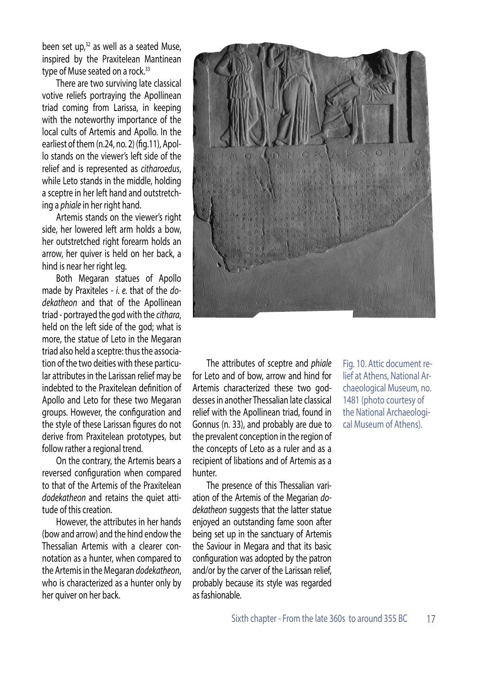been set up, $32$  as well as a seated Muse, inspired by the Praxitelean Mantinean type of Muse seated on a rock.<sup>33</sup>

There are two surviving late classical votive reliefs portraying the Apollinean triad coming from Larissa, in keeping with the noteworthy importance of the local cults of Artemis and Apollo. In the earliest of them (n.24, no. 2) (fig.11), Apollo stands on the viewer's left side of the relief and is represented as *citharoedus*, while Leto stands in the middle, holding a sceptre in her left hand and outstretching a *phiale* in her right hand.

Artemis stands on the viewer's right side, her lowered left arm holds a bow, her outstretched right forearm holds an arrow, her quiver is held on her back, a hind is near her right leg.

Both Megaran statues of Apollo made by Praxiteles - *i. e.* that of the *dodekatheon* and that of the Apollinean triad - portrayed the god with the *cithara*, held on the left side of the god; what is more, the statue of Leto in the Megaran triad also held a sceptre: thus the association of the two deities with these particular attributes in the Larissan relief may be indebted to the Praxitelean definition of Apollo and Leto for these two Megaran groups. However, the configuration and the style of these Larissan figures do not derive from Praxitelean prototypes, but follow rather a regional trend.

On the contrary, the Artemis bears a reversed configuration when compared to that of the Artemis of the Praxitelean *dodekatheon* and retains the quiet attitude of this creation.

However, the attributes in her hands (bow and arrow) and the hind endow the Thessalian Artemis with a clearer connotation as a hunter, when compared to the Artemis in the Megaran *dodekatheon*, who is characterized as a hunter only by her quiver on her back.



The attributes of sceptre and *phiale* for Leto and of bow, arrow and hind for Artemis characterized these two goddesses in another Thessalian late classical relief with the Apollinean triad, found in Gonnus (n. 33), and probably are due to the prevalent conception in the region of the concepts of Leto as a ruler and as a recipient of libations and of Artemis as a hunter.

The presence of this Thessalian variation of the Artemis of the Megarian *dodekatheon* suggests that the latter statue enjoyed an outstanding fame soon after being set up in the sanctuary of Artemis the Saviour in Megara and that its basic configuration was adopted by the patron and/or by the carver of the Larissan relief, probably because its style was regarded as fashionable.

Fig. 10. Attic document relief at Athens, National Archaeological Museum, no. 1481 (photo courtesy of the National Archaeological Museum of Athens).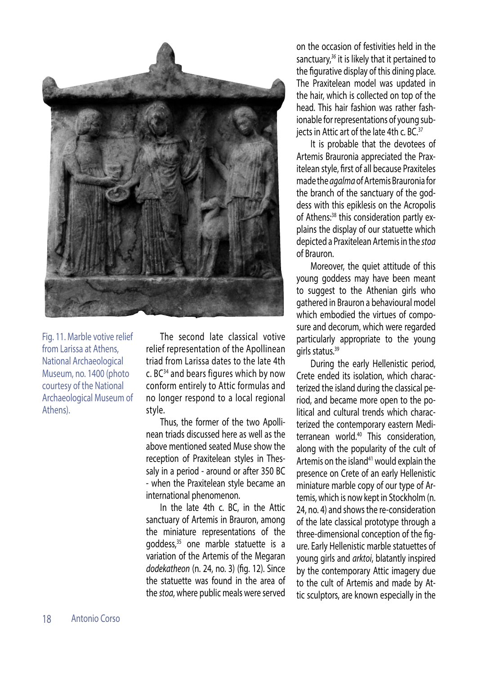

Fig. 11. Marble votive relief from Larissa at Athens, National Archaeological Museum, no. 1400 (photo courtesy of the National Archaeological Museum of Athens).

The second late classical votive relief representation of the Apollinean triad from Larissa dates to the late 4th c. BC34 and bears figures which by now conform entirely to Attic formulas and no longer respond to a local regional style.

Thus, the former of the two Apollinean triads discussed here as well as the above mentioned seated Muse show the reception of Praxitelean styles in Thessaly in a period - around or after 350 BC - when the Praxitelean style became an international phenomenon.

In the late 4th c. BC, in the Attic sanctuary of Artemis in Brauron, among the miniature representations of the goddess,<sup>35</sup> one marble statuette is a variation of the Artemis of the Megaran *dodekatheon* (n. 24, no. 3) (fig. 12). Since the statuette was found in the area of the *stoa*, where public meals were served

on the occasion of festivities held in the sanctuary,*<sup>36</sup>* it is likely that it pertained to the figurative display of this dining place. The Praxitelean model was updated in the hair, which is collected on top of the head. This hair fashion was rather fashionable for representations of young subjects in Attic art of the late 4th c. BC.<sup>37</sup>

It is probable that the devotees of Artemis Brauronia appreciated the Praxitelean style, first of all because Praxiteles made the *agalma* of Artemis Brauronia for the branch of the sanctuary of the goddess with this epiklesis on the Acropolis of Athens:<sup>38</sup> this consideration partly explains the display of our statuette which depicted a Praxitelean Artemis in the *stoa*  of Brauron.

Moreover, the quiet attitude of this young goddess may have been meant to suggest to the Athenian girls who gathered in Brauron a behavioural model which embodied the virtues of composure and decorum, which were regarded particularly appropriate to the young girls status.<sup>39</sup>

During the early Hellenistic period, Crete ended its isolation, which characterized the island during the classical period, and became more open to the political and cultural trends which characterized the contemporary eastern Mediterranean world.40 This consideration, along with the popularity of the cult of Artemis on the island<sup>41</sup> would explain the presence on Crete of an early Hellenistic miniature marble copy of our type of Artemis, which is now kept in Stockholm (n. 24, no. 4) and shows the re-consideration of the late classical prototype through a three-dimensional conception of the figure. Early Hellenistic marble statuettes of young girls and *arktoi*, blatantly inspired by the contemporary Attic imagery due to the cult of Artemis and made by Attic sculptors, are known especially in the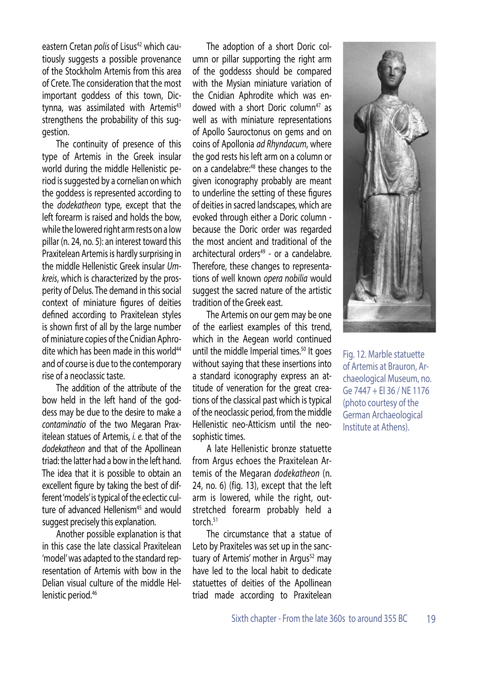eastern Cretan *polis* of Lisus<sup>42</sup> which cautiously suggests a possible provenance of the Stockholm Artemis from this area of Crete. The consideration that the most important goddess of this town, Dictynna, was assimilated with Artemis<sup>43</sup> strengthens the probability of this suggestion.

The continuity of presence of this type of Artemis in the Greek insular world during the middle Hellenistic period is suggested by a cornelian on which the goddess is represented according to the *dodekatheon* type, except that the left forearm is raised and holds the bow, while the lowered right arm rests on a low pillar (n. 24, no. 5): an interest toward this Praxitelean Artemis is hardly surprising in the middle Hellenistic Greek insular *Umkreis*, which is characterized by the prosperity of Delus. The demand in this social context of miniature figures of deities defined according to Praxitelean styles is shown first of all by the large number of miniature copies of the Cnidian Aphrodite which has been made in this world $44$ and of course is due to the contemporary rise of a neoclassic taste.

The addition of the attribute of the bow held in the left hand of the goddess may be due to the desire to make a *contaminatio* of the two Megaran Praxitelean statues of Artemis, *i. e.* that of the *dodekatheon* and that of the Apollinean triad: the latter had a bow in the left hand. The idea that it is possible to obtain an excellent figure by taking the best of different 'models' is typical of the eclectic culture of advanced Hellenism<sup>45</sup> and would suggest precisely this explanation.

Another possible explanation is that in this case the late classical Praxitelean 'model' was adapted to the standard representation of Artemis with bow in the Delian visual culture of the middle Hellenistic period.<sup>46</sup>

The adoption of a short Doric column or pillar supporting the right arm of the goddesss should be compared with the Mysian miniature variation of the Cnidian Aphrodite which was endowed with a short Doric column<sup>47</sup> as well as with miniature representations of Apollo Sauroctonus on gems and on coins of Apollonia *ad Rhyndacum*, where the god rests his left arm on a column or on a candelabre:<sup>48</sup> these changes to the given iconography probably are meant to underline the setting of these figures of deities in sacred landscapes, which are evoked through either a Doric column because the Doric order was regarded the most ancient and traditional of the architectural orders $49$  - or a candelabre. Therefore, these changes to representations of well known *opera nobilia* would suggest the sacred nature of the artistic tradition of the Greek east.

The Artemis on our gem may be one of the earliest examples of this trend, which in the Aegean world continued until the middle Imperial times.<sup>50</sup> It goes without saying that these insertions into a standard iconography express an attitude of veneration for the great creations of the classical past which is typical of the neoclassic period, from the middle Hellenistic neo-Atticism until the neosophistic times.

A late Hellenistic bronze statuette from Argus echoes the Praxitelean Artemis of the Megaran *dodekatheon* (n. 24, no. 6) (fig. 13), except that the left arm is lowered, while the right, outstretched forearm probably held a torch.<sup>51</sup>

The circumstance that a statue of Leto by Praxiteles was set up in the sanctuary of Artemis' mother in Argus<sup>52</sup> may have led to the local habit to dedicate statuettes of deities of the Apollinean triad made according to Praxitelean



Fig. 12. Marble statuette of Artemis at Brauron, Archaeological Museum, no. Ge 7447 + El 36 / NE 1176 (photo courtesy of the German Archaeological Institute at Athens).